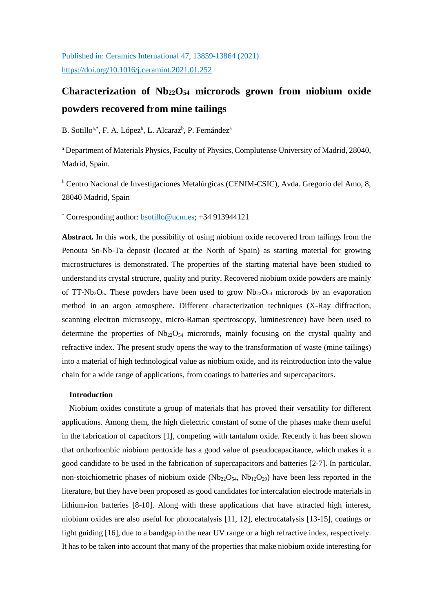Published in: Ceramics International 47, 13859-13864 (2021). <https://doi.org/10.1016/j.ceramint.2021.01.252>

# **Characterization of Nb22O54 microrods grown from niobium oxide powders recovered from mine tailings**

## B. Sotillo<sup>a,\*</sup>, F. A. López<sup>b</sup>, L. Alcaraz<sup>b</sup>, P. Fernández<sup>a</sup>

<sup>a</sup> Department of Materials Physics, Faculty of Physics, Complutense University of Madrid, 28040, Madrid, Spain.

<sup>b</sup> Centro Nacional de Investigaciones Metalúrgicas (CENIM-CSIC), Avda. Gregorio del Amo, 8, 28040 Madrid, Spain

\* Corresponding author: [bsotillo@ucm.es;](mailto:bsotillo@ucm.es) +34 913944121

**Abstract.** In this work, the possibility of using niobium oxide recovered from tailings from the Penouta Sn-Nb-Ta deposit (located at the North of Spain) as starting material for growing microstructures is demonstrated. The properties of the starting material have been studied to understand its crystal structure, quality and purity. Recovered niobium oxide powders are mainly of TT-Nb<sub>2</sub>O<sub>5</sub>. These powders have been used to grow  $Nb<sub>22</sub>O<sub>54</sub>$  microrods by an evaporation method in an argon atmosphere. Different characterization techniques (X-Ray diffraction, scanning electron microscopy, micro-Raman spectroscopy, luminescence) have been used to determine the properties of  $Nb_{22}O_{54}$  microrods, mainly focusing on the crystal quality and refractive index. The present study opens the way to the transformation of waste (mine tailings) into a material of high technological value as niobium oxide, and its reintroduction into the value chain for a wide range of applications, from coatings to batteries and supercapacitors.

## **Introduction**

Niobium oxides constitute a group of materials that has proved their versatility for different applications. Among them, the high dielectric constant of some of the phases make them useful in the fabrication of capacitors [1], competing with tantalum oxide. Recently it has been shown that orthorhombic niobium pentoxide has a good value of pseudocapacitance, which makes it a good candidate to be used in the fabrication of supercapacitors and batteries [2-7]. In particular, non-stoichiometric phases of niobium oxide  $(Nb_{22}O_{54}$ ,  $Nb_{12}O_{29})$  have been less reported in the literature, but they have been proposed as good candidates for intercalation electrode materials in lithium-ion batteries [8-10]. Along with these applications that have attracted high interest, niobium oxides are also useful for photocatalysis [11, 12], electrocatalysis [13-15], coatings or light guiding [16], due to a bandgap in the near UV range or a high refractive index, respectively. It has to be taken into account that many of the properties that make niobium oxide interesting for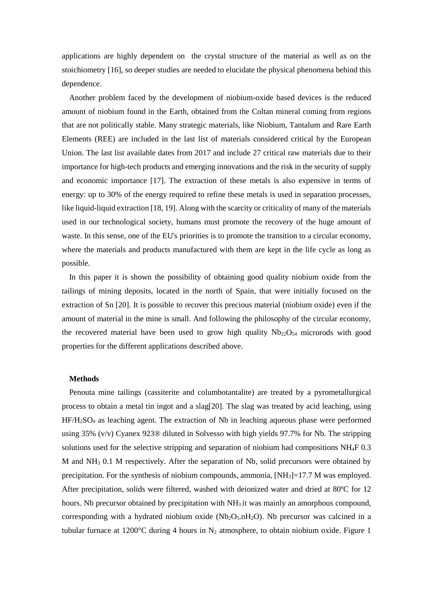applications are highly dependent on the crystal structure of the material as well as on the stoichiometry [16], so deeper studies are needed to elucidate the physical phenomena behind this dependence.

Another problem faced by the development of niobium-oxide based devices is the reduced amount of niobium found in the Earth, obtained from the Coltan mineral coming from regions that are not politically stable. Many strategic materials, like Niobium, Tantalum and Rare Earth Elements (REE) are included in the last list of materials considered critical by the European Union. The last list available dates from 2017 and include 27 critical raw materials due to their importance for high-tech products and emerging innovations and the risk in the security of supply and economic importance [17]. The extraction of these metals is also expensive in terms of energy: up to 30% of the energy required to refine these metals is used in separation processes, like liquid-liquid extraction [18, 19]. Along with the scarcity or criticality of many of the materials used in our technological society, humans must promote the recovery of the huge amount of waste. In this sense, one of the EU's priorities is to promote the transition to a circular economy, where the materials and products manufactured with them are kept in the life cycle as long as possible.

In this paper it is shown the possibility of obtaining good quality niobium oxide from the tailings of mining deposits, located in the north of Spain, that were initially focused on the extraction of Sn [20]. It is possible to recover this precious material (niobium oxide) even if the amount of material in the mine is small. And following the philosophy of the circular economy, the recovered material have been used to grow high quality  $Nb_{22}O_{54}$  microrods with good properties for the different applications described above.

### **Methods**

Penouta mine tailings (cassiterite and columbotantalite) are treated by a pyrometallurgical process to obtain a metal tin ingot and a slag[20]. The slag was treated by acid leaching, using HF/H2SO4 as leaching agent. The extraction of Nb in leaching aqueous phase were performed using 35% (v/v) Cyanex 923® diluted in Solvesso with high yields 97.7% for Nb. The stripping solutions used for the selective stripping and separation of niobium had compositions NH4F 0.3 M and NH3 0.1 M respectively. After the separation of Nb, solid precursors were obtained by precipitation. For the synthesis of niobium compounds, ammonia,  $[NH<sub>3</sub>] = 17.7$  M was employed. After precipitation, solids were filtered, washed with deionized water and dried at 80ºC for 12 hours. Nb precursor obtained by precipitation with  $NH<sub>3</sub>$  it was mainly an amorphous compound, corresponding with a hydrated niobium oxide ( $Nb<sub>2</sub>O<sub>5</sub> nH<sub>2</sub>O$ ). Nb precursor was calcined in a tubular furnace at 1200 $\degree$ C during 4 hours in N<sub>2</sub> atmosphere, to obtain niobium oxide. Figure 1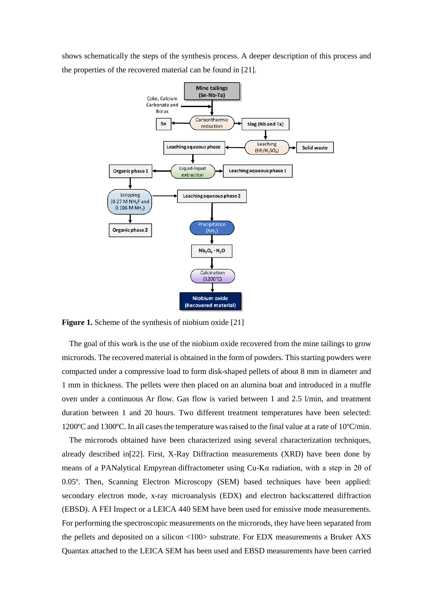shows schematically the steps of the synthesis process. A deeper description of this process and the properties of the recovered material can be found in [21].



**Figure 1.** Scheme of the synthesis of niobium oxide [21]

The goal of this work is the use of the niobium oxide recovered from the mine tailings to grow microrods. The recovered material is obtained in the form of powders. This starting powders were compacted under a compressive load to form disk-shaped pellets of about 8 mm in diameter and 1 mm in thickness. The pellets were then placed on an alumina boat and introduced in a muffle oven under a continuous Ar flow. Gas flow is varied between 1 and 2.5 l/min, and treatment duration between 1 and 20 hours. Two different treatment temperatures have been selected: 1200ºC and 1300ºC. In all cases the temperature was raised to the final value at a rate of 10ºC/min.

The microrods obtained have been characterized using several characterization techniques, already described in[22]. First, X-Ray Diffraction measurements (XRD) have been done by means of a PANalytical Empyrean diffractometer using Cu-Kα radiation, with a step in 2θ of 0.05º. Then, Scanning Electron Microscopy (SEM) based techniques have been applied: secondary electron mode, x-ray microanalysis (EDX) and electron backscattered diffraction (EBSD). A FEI Inspect or a LEICA 440 SEM have been used for emissive mode measurements. For performing the spectroscopic measurements on the microrods, they have been separated from the pellets and deposited on a silicon <100> substrate. For EDX measurements a Bruker AXS Quantax attached to the LEICA SEM has been used and EBSD measurements have been carried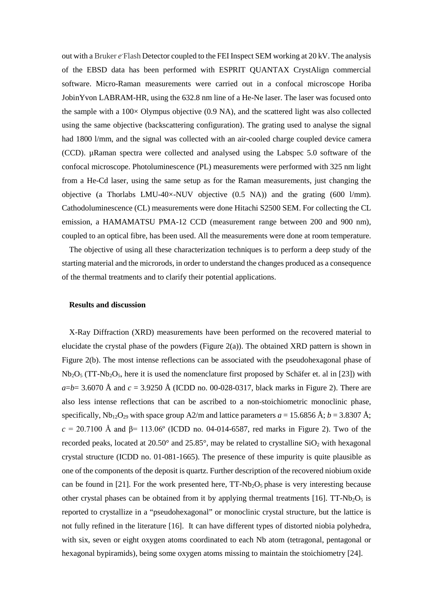out with a Bruker e Flash Detector coupled to the FEI Inspect SEM working at 20 kV. The analysis of the EBSD data has been performed with ESPRIT QUANTAX CrystAlign commercial software. Micro-Raman measurements were carried out in a confocal microscope Horiba JobinYvon LABRAM-HR, using the 632.8 nm line of a He-Ne laser. The laser was focused onto the sample with a  $100\times$  Olympus objective (0.9 NA), and the scattered light was also collected using the same objective (backscattering configuration). The grating used to analyse the signal had 1800 l/mm, and the signal was collected with an air-cooled charge coupled device camera (CCD). µRaman spectra were collected and analysed using the Labspec 5.0 software of the confocal microscope. Photoluminescence (PL) measurements were performed with 325 nm light from a He-Cd laser, using the same setup as for the Raman measurements, just changing the objective (a Thorlabs LMU-40×-NUV objective (0.5 NA)) and the grating (600 l/mm). Cathodoluminescence (CL) measurements were done Hitachi S2500 SEM. For collecting the CL emission, a HAMAMATSU PMA-12 CCD (measurement range between 200 and 900 nm), coupled to an optical fibre, has been used. All the measurements were done at room temperature.

The objective of using all these characterization techniques is to perform a deep study of the starting material and the microrods, in order to understand the changes produced as a consequence of the thermal treatments and to clarify their potential applications.

#### **Results and discussion**

X-Ray Diffraction (XRD) measurements have been performed on the recovered material to elucidate the crystal phase of the powders (Figure 2(a)). The obtained XRD pattern is shown in Figure 2(b). The most intense reflections can be associated with the pseudohexagonal phase of  $Nb<sub>2</sub>O<sub>5</sub>$  (TT-Nb<sub>2</sub>O<sub>5</sub>, here it is used the nomenclature first proposed by Schäfer et. al in [23]) with  $a = b = 3.6070$  Å and  $c = 3.9250$  Å (ICDD no. 00-028-0317, black marks in Figure 2). There are also less intense reflections that can be ascribed to a non-stoichiometric monoclinic phase, specifically,  $Nb_{12}O_{29}$  with space group A2/m and lattice parameters  $a = 15.6856 \text{ Å}; b = 3.8307 \text{ Å};$  $c = 20.7100$  Å and  $β = 113.06°$  (ICDD no. 04-014-6587, red marks in Figure 2). Two of the recorded peaks, located at  $20.50^{\circ}$  and  $25.85^{\circ}$ , may be related to crystalline  $SiO<sub>2</sub>$  with hexagonal crystal structure (ICDD no. 01-081-1665). The presence of these impurity is quite plausible as one of the components of the deposit is quartz. Further description of the recovered niobium oxide can be found in [21]. For the work presented here,  $TT-Nb<sub>2</sub>O<sub>5</sub>$  phase is very interesting because other crystal phases can be obtained from it by applying thermal treatments  $[16]$ . TT-Nb<sub>2</sub>O<sub>5</sub> is reported to crystallize in a "pseudohexagonal" or monoclinic crystal structure, but the lattice is not fully refined in the literature [16]. It can have different types of distorted niobia polyhedra, with six, seven or eight oxygen atoms coordinated to each Nb atom (tetragonal, pentagonal or hexagonal bypiramids), being some oxygen atoms missing to maintain the stoichiometry [24].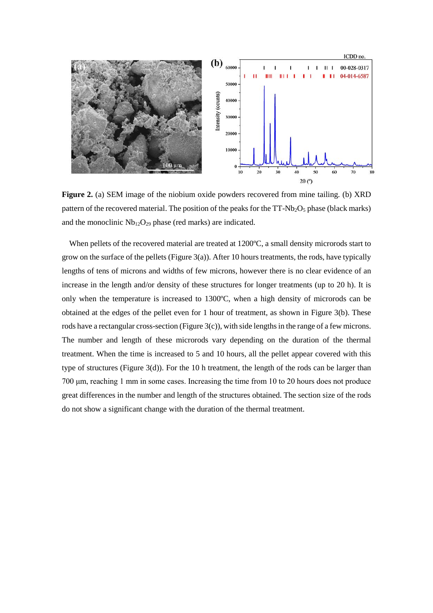

**Figure 2.** (a) SEM image of the niobium oxide powders recovered from mine tailing. (b) XRD pattern of the recovered material. The position of the peaks for the  $TT-Nb<sub>2</sub>O<sub>5</sub>$  phase (black marks) and the monoclinic  $Nb_{12}O_{29}$  phase (red marks) are indicated.

When pellets of the recovered material are treated at 1200°C, a small density microrods start to grow on the surface of the pellets (Figure 3(a)). After 10 hours treatments, the rods, have typically lengths of tens of microns and widths of few microns, however there is no clear evidence of an increase in the length and/or density of these structures for longer treatments (up to 20 h). It is only when the temperature is increased to 1300ºC, when a high density of microrods can be obtained at the edges of the pellet even for 1 hour of treatment, as shown in Figure 3(b). These rods have a rectangular cross-section (Figure  $3(c)$ ), with side lengths in the range of a few microns. The number and length of these microrods vary depending on the duration of the thermal treatment. When the time is increased to 5 and 10 hours, all the pellet appear covered with this type of structures (Figure 3(d)). For the 10 h treatment, the length of the rods can be larger than 700 μm, reaching 1 mm in some cases. Increasing the time from 10 to 20 hours does not produce great differences in the number and length of the structures obtained. The section size of the rods do not show a significant change with the duration of the thermal treatment.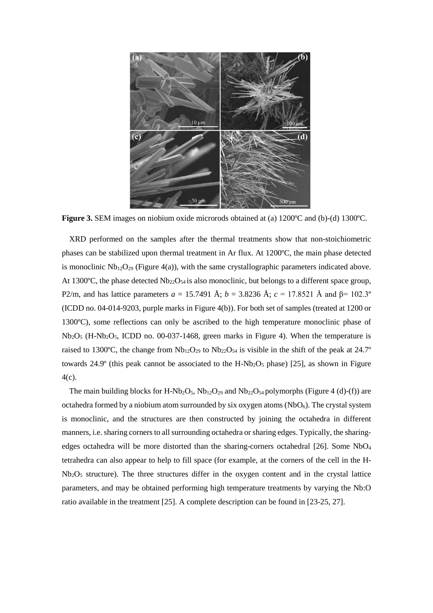

**Figure 3.** SEM images on niobium oxide microrods obtained at (a) 1200°C and (b)-(d) 1300°C.

XRD performed on the samples after the thermal treatments show that non-stoichiometric phases can be stabilized upon thermal treatment in Ar flux. At 1200ºC, the main phase detected is monoclinic  $Nb<sub>12</sub>O<sub>29</sub>$  (Figure 4(a)), with the same crystallographic parameters indicated above. At 1300 $^{\circ}$ C, the phase detected Nb<sub>22</sub>O<sub>54</sub> is also monoclinic, but belongs to a different space group, P2/m, and has lattice parameters  $a = 15.7491$  Å;  $b = 3.8236$  Å;  $c = 17.8521$  Å and β= 102.3° (ICDD no. 04-014-9203, purple marks in Figure 4(b)). For both set of samples (treated at 1200 or 1300ºC), some reflections can only be ascribed to the high temperature monoclinic phase of  $Nb<sub>2</sub>O<sub>5</sub>$  (H-Nb<sub>2</sub>O<sub>5</sub>, ICDD no. 00-037-1468, green marks in Figure 4). When the temperature is raised to 1300°C, the change from  $Nb_{12}O_{29}$  to  $Nb_{22}O_{54}$  is visible in the shift of the peak at 24.7° towards  $24.9^\circ$  (this peak cannot be associated to the H-Nb<sub>2</sub>O<sub>5</sub> phase) [25], as shown in Figure 4(c).

The main building blocks for H-Nb<sub>2</sub>O<sub>5</sub>, Nb<sub>12</sub>O<sub>29</sub> and Nb<sub>22</sub>O<sub>54</sub> polymorphs (Figure 4 (d)-(f)) are octahedra formed by a niobium atom surrounded by six oxygen atoms  $(NbO<sub>6</sub>)$ . The crystal system is monoclinic, and the structures are then constructed by joining the octahedra in different manners, i.e. sharing corners to all surrounding octahedra or sharing edges. Typically, the sharingedges octahedra will be more distorted than the sharing-corners octahedral [26]. Some NbO<sub>4</sub> tetrahedra can also appear to help to fill space (for example, at the corners of the cell in the H- $Nb<sub>2</sub>O<sub>5</sub>$  structure). The three structures differ in the oxygen content and in the crystal lattice parameters, and may be obtained performing high temperature treatments by varying the Nb:O ratio available in the treatment [25]. A complete description can be found in [23-25, 27].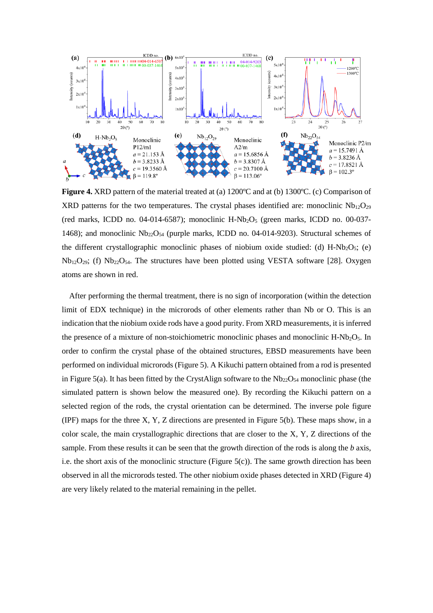

**Figure 4.** XRD pattern of the material treated at (a) 1200<sup>o</sup>C and at (b) 1300<sup>o</sup>C. (c) Comparison of XRD patterns for the two temperatures. The crystal phases identified are: monoclinic  $Nb_{12}O_{29}$ (red marks, ICDD no. 04-014-6587); monoclinic H-Nb<sub>2</sub>O<sub>5</sub> (green marks, ICDD no. 00-037-1468); and monoclinic  $Nb<sub>22</sub>O<sub>54</sub>$  (purple marks, ICDD no. 04-014-9203). Structural schemes of the different crystallographic monoclinic phases of niobium oxide studied: (d)  $H-Nb<sub>2</sub>O<sub>5</sub>$ ; (e)  $Nb<sub>12</sub>O<sub>29</sub>$ ; (f)  $Nb<sub>22</sub>O<sub>54</sub>$ . The structures have been plotted using VESTA software [28]. Oxygen atoms are shown in red.

After performing the thermal treatment, there is no sign of incorporation (within the detection limit of EDX technique) in the microrods of other elements rather than Nb or O. This is an indication that the niobium oxide rods have a good purity. From XRD measurements, it is inferred the presence of a mixture of non-stoichiometric monoclinic phases and monoclinic  $H\text{-}Nb_2O_5$ . In order to confirm the crystal phase of the obtained structures, EBSD measurements have been performed on individual microrods (Figure 5). A Kikuchi pattern obtained from a rod is presented in Figure 5(a). It has been fitted by the CrystAlign software to the  $Nb_{22}O_{54}$  monoclinic phase (the simulated pattern is shown below the measured one). By recording the Kikuchi pattern on a selected region of the rods, the crystal orientation can be determined. The inverse pole figure (IPF) maps for the three X, Y, Z directions are presented in Figure 5(b). These maps show, in a color scale, the main crystallographic directions that are closer to the X, Y, Z directions of the sample. From these results it can be seen that the growth direction of the rods is along the *b* axis, i.e. the short axis of the monoclinic structure (Figure  $5(c)$ ). The same growth direction has been observed in all the microrods tested. The other niobium oxide phases detected in XRD (Figure 4) are very likely related to the material remaining in the pellet.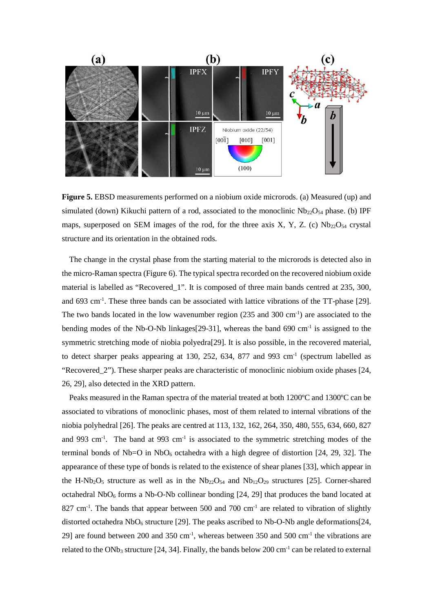

**Figure 5.** EBSD measurements performed on a niobium oxide microrods. (a) Measured (up) and simulated (down) Kikuchi pattern of a rod, associated to the monoclinic  $Nb<sub>22</sub>O<sub>54</sub>$  phase. (b) IPF maps, superposed on SEM images of the rod, for the three axis X, Y, Z. (c)  $Nb_{22}O_{54}$  crystal structure and its orientation in the obtained rods.

The change in the crystal phase from the starting material to the microrods is detected also in the micro-Raman spectra (Figure 6). The typical spectra recorded on the recovered niobium oxide material is labelled as "Recovered\_1". It is composed of three main bands centred at 235, 300, and 693 cm<sup>-1</sup>. These three bands can be associated with lattice vibrations of the TT-phase [29]. The two bands located in the low wavenumber region  $(235 \text{ and } 300 \text{ cm}^{-1})$  are associated to the bending modes of the Nb-O-Nb linkages[29-31], whereas the band 690 cm<sup>-1</sup> is assigned to the symmetric stretching mode of niobia polyedra[29]. It is also possible, in the recovered material, to detect sharper peaks appearing at 130, 252, 634, 877 and 993 cm-1 (spectrum labelled as "Recovered\_2"). These sharper peaks are characteristic of monoclinic niobium oxide phases [24, 26, 29], also detected in the XRD pattern.

Peaks measured in the Raman spectra of the material treated at both 1200ºC and 1300ºC can be associated to vibrations of monoclinic phases, most of them related to internal vibrations of the niobia polyhedral [26]. The peaks are centred at 113, 132, 162, 264, 350, 480, 555, 634, 660, 827 and 993 cm<sup>-1</sup>. The band at 993 cm<sup>-1</sup> is associated to the symmetric stretching modes of the terminal bonds of Nb=O in NbO<sub>6</sub> octahedra with a high degree of distortion [24, 29, 32]. The appearance of these type of bonds is related to the existence of shear planes [33], which appear in the H-Nb<sub>2</sub>O<sub>5</sub> structure as well as in the Nb<sub>22</sub>O<sub>54</sub> and Nb<sub>12</sub>O<sub>29</sub> structures [25]. Corner-shared octahedral  $NbO<sub>6</sub>$  forms a Nb-O-Nb collinear bonding [24, 29] that produces the band located at  $827 \text{ cm}^{-1}$ . The bands that appear between 500 and 700 cm<sup>-1</sup> are related to vibration of slightly distorted octahedra  $NbO<sub>6</sub>$  structure [29]. The peaks ascribed to Nb-O-Nb angle deformations [24, 29] are found between 200 and 350 cm<sup>-1</sup>, whereas between 350 and 500 cm<sup>-1</sup> the vibrations are related to the ONb<sub>3</sub> structure [24, 34]. Finally, the bands below 200 cm<sup>-1</sup> can be related to external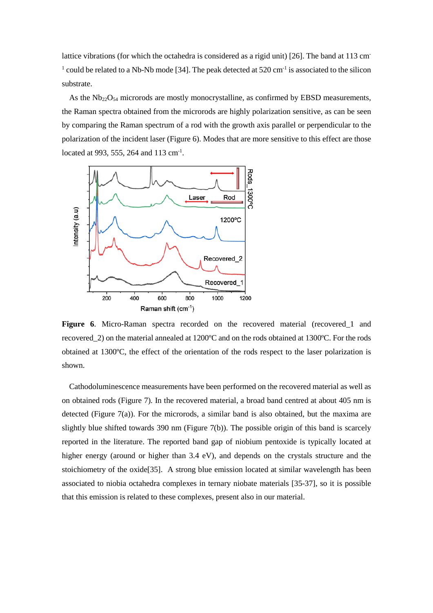lattice vibrations (for which the octahedra is considered as a rigid unit) [26]. The band at 113 cm-<sup>1</sup> could be related to a Nb-Nb mode [34]. The peak detected at 520 cm<sup>-1</sup> is associated to the silicon substrate.

As the  $Nb<sub>22</sub>O<sub>54</sub>$  microrods are mostly monocrystalline, as confirmed by EBSD measurements, the Raman spectra obtained from the microrods are highly polarization sensitive, as can be seen by comparing the Raman spectrum of a rod with the growth axis parallel or perpendicular to the polarization of the incident laser (Figure 6). Modes that are more sensitive to this effect are those located at 993, 555, 264 and 113 cm<sup>-1</sup>.



Figure 6. Micro-Raman spectra recorded on the recovered material (recovered 1 and recovered\_2) on the material annealed at 1200ºC and on the rods obtained at 1300ºC. For the rods obtained at 1300ºC, the effect of the orientation of the rods respect to the laser polarization is shown.

Cathodoluminescence measurements have been performed on the recovered material as well as on obtained rods (Figure 7). In the recovered material, a broad band centred at about 405 nm is detected (Figure 7(a)). For the microrods, a similar band is also obtained, but the maxima are slightly blue shifted towards 390 nm (Figure 7(b)). The possible origin of this band is scarcely reported in the literature. The reported band gap of niobium pentoxide is typically located at higher energy (around or higher than 3.4 eV), and depends on the crystals structure and the stoichiometry of the oxide[35]. A strong blue emission located at similar wavelength has been associated to niobia octahedra complexes in ternary niobate materials [35-37], so it is possible that this emission is related to these complexes, present also in our material.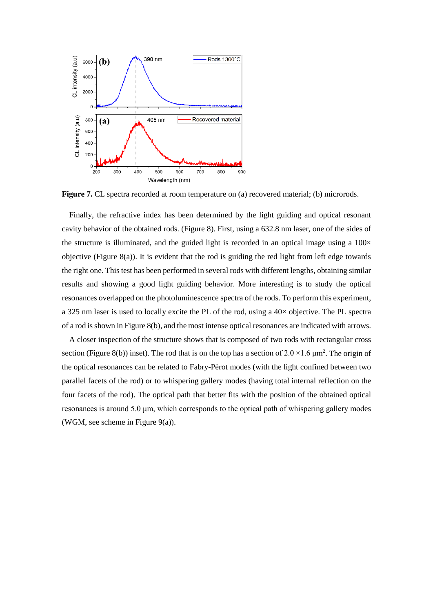

**Figure 7.** CL spectra recorded at room temperature on (a) recovered material; (b) microrods.

Finally, the refractive index has been determined by the light guiding and optical resonant cavity behavior of the obtained rods. (Figure 8). First, using a 632.8 nm laser, one of the sides of the structure is illuminated, and the guided light is recorded in an optical image using a  $100\times$ objective (Figure 8(a)). It is evident that the rod is guiding the red light from left edge towards the right one. This test has been performed in several rods with different lengths, obtaining similar results and showing a good light guiding behavior. More interesting is to study the optical resonances overlapped on the photoluminescence spectra of the rods. To perform this experiment, a 325 nm laser is used to locally excite the PL of the rod, using a 40× objective. The PL spectra of a rod is shown in Figure 8(b), and the most intense optical resonances are indicated with arrows.

A closer inspection of the structure shows that is composed of two rods with rectangular cross section (Figure 8(b)) inset). The rod that is on the top has a section of  $2.0 \times 1.6 \mu m^2$ . The origin of the optical resonances can be related to Fabry-Pèrot modes (with the light confined between two parallel facets of the rod) or to whispering gallery modes (having total internal reflection on the four facets of the rod). The optical path that better fits with the position of the obtained optical resonances is around 5.0 μm, which corresponds to the optical path of whispering gallery modes (WGM, see scheme in Figure 9(a)).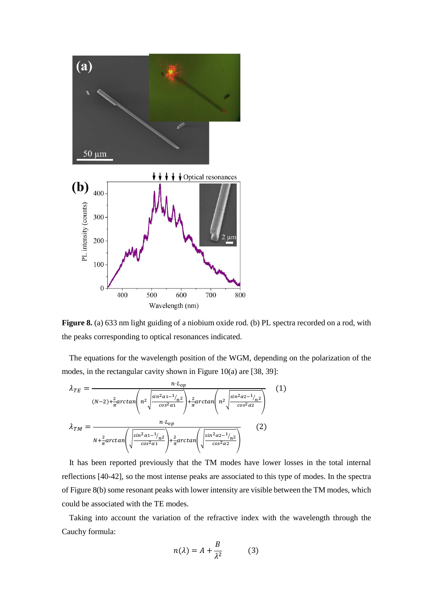

**Figure 8.** (a) 633 nm light guiding of a niobium oxide rod. (b) PL spectra recorded on a rod, with the peaks corresponding to optical resonances indicated.

The equations for the wavelength position of the WGM, depending on the polarization of the modes, in the rectangular cavity shown in Figure 10(a) are [38, 39]:

$$
\lambda_{TE} = \frac{n \cdot L_{op}}{(N-2) + \frac{2}{\pi} \arctan\left(n^2 \sqrt{\frac{\sin^2 \alpha_1 - 1_{n^2}}{\cos^2 \alpha_1}}\right) + \frac{2}{\pi} \arctan\left(n^2 \sqrt{\frac{\sin^2 \alpha_2 - 1_{n^2}}{\cos^2 \alpha_2}}\right)} (1)
$$
\n
$$
\lambda_{TM} = \frac{n \cdot L_{op}}{N + \frac{2}{\pi} \arctan\left(\sqrt{\frac{\sin^2 \alpha_1 - 1_{n^2}}{\cos^2 \alpha_1}}\right) + \frac{2}{\pi} \arctan\left(\sqrt{\frac{\sin^2 \alpha_2 - 1_{n^2}}{\cos^2 \alpha_2}}\right)} (2)
$$

It has been reported previously that the TM modes have lower losses in the total internal reflections [40-42], so the most intense peaks are associated to this type of modes. In the spectra of Figure 8(b) some resonant peaks with lower intensity are visible between the TM modes, which could be associated with the TE modes.

Taking into account the variation of the refractive index with the wavelength through the Cauchy formula:

$$
n(\lambda) = A + \frac{B}{\lambda^2} \tag{3}
$$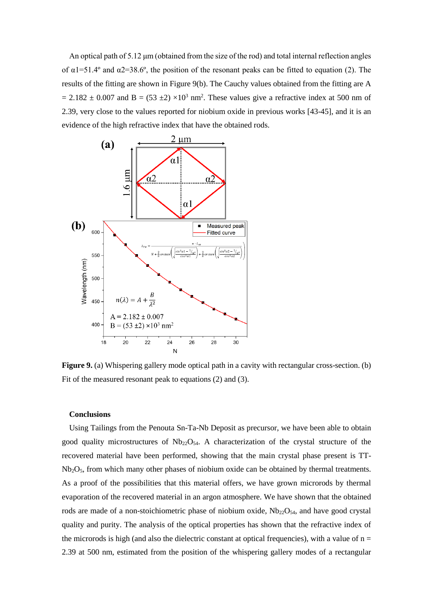An optical path of 5.12 μm (obtained from the size of the rod) and total internal reflection angles of  $\alpha$ 1=51.4° and  $\alpha$ 2=38.6°, the position of the resonant peaks can be fitted to equation (2). The results of the fitting are shown in Figure 9(b). The Cauchy values obtained from the fitting are A  $= 2.182 \pm 0.007$  and B = (53  $\pm 2$ ) ×10<sup>3</sup> nm<sup>2</sup>. These values give a refractive index at 500 nm of 2.39, very close to the values reported for niobium oxide in previous works [43-45], and it is an evidence of the high refractive index that have the obtained rods.



**Figure 9.** (a) Whispering gallery mode optical path in a cavity with rectangular cross-section. (b) Fit of the measured resonant peak to equations (2) and (3).

#### **Conclusions**

Using Tailings from the Penouta Sn-Ta-Nb Deposit as precursor, we have been able to obtain good quality microstructures of  $Nb_{22}O_{54}$ . A characterization of the crystal structure of the recovered material have been performed, showing that the main crystal phase present is TT-Nb2O5, from which many other phases of niobium oxide can be obtained by thermal treatments. As a proof of the possibilities that this material offers, we have grown microrods by thermal evaporation of the recovered material in an argon atmosphere. We have shown that the obtained rods are made of a non-stoichiometric phase of niobium oxide,  $Nb_{22}O_{54}$ , and have good crystal quality and purity. The analysis of the optical properties has shown that the refractive index of the microrods is high (and also the dielectric constant at optical frequencies), with a value of  $n =$ 2.39 at 500 nm, estimated from the position of the whispering gallery modes of a rectangular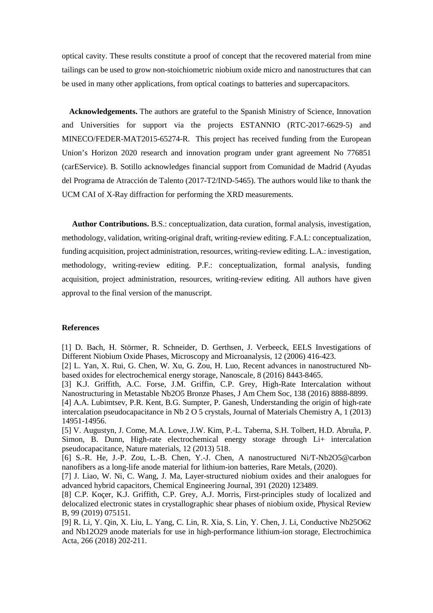optical cavity. These results constitute a proof of concept that the recovered material from mine tailings can be used to grow non-stoichiometric niobium oxide micro and nanostructures that can be used in many other applications, from optical coatings to batteries and supercapacitors.

**Acknowledgements.** The authors are grateful to the Spanish Ministry of Science, Innovation and Universities for support via the projects ESTANNIO (RTC-2017-6629-5) and MINECO/FEDER-MAT2015-65274-R. This project has received funding from the European Union's Horizon 2020 research and innovation program under grant agreement No 776851 (carEService). B. Sotillo acknowledges financial support from Comunidad de Madrid (Ayudas del Programa de Atracción de Talento (2017-T2/IND-5465). The authors would like to thank the UCM CAI of X-Ray diffraction for performing the XRD measurements.

**Author Contributions.** B.S.: conceptualization, data curation, formal analysis, investigation, methodology, validation, writing-original draft, writing-review editing. F.A.L: conceptualization, funding acquisition, project administration, resources, writing-review editing. L.A.: investigation, methodology, writing-review editing. P.F.: conceptualization, formal analysis, funding acquisition, project administration, resources, writing-review editing. All authors have given approval to the final version of the manuscript.

## **References**

[1] D. Bach, H. Störmer, R. Schneider, D. Gerthsen, J. Verbeeck, EELS Investigations of Different Niobium Oxide Phases, Microscopy and Microanalysis, 12 (2006) 416-423.

[2] L. Yan, X. Rui, G. Chen, W. Xu, G. Zou, H. Luo, Recent advances in nanostructured Nbbased oxides for electrochemical energy storage, Nanoscale, 8 (2016) 8443-8465.

[3] K.J. Griffith, A.C. Forse, J.M. Griffin, C.P. Grey, High-Rate Intercalation without Nanostructuring in Metastable Nb2O5 Bronze Phases, J Am Chem Soc, 138 (2016) 8888-8899.

[4] A.A. Lubimtsev, P.R. Kent, B.G. Sumpter, P. Ganesh, Understanding the origin of high-rate intercalation pseudocapacitance in Nb 2 O 5 crystals, Journal of Materials Chemistry A, 1 (2013) 14951-14956.

[5] V. Augustyn, J. Come, M.A. Lowe, J.W. Kim, P.-L. Taberna, S.H. Tolbert, H.D. Abruña, P. Simon, B. Dunn, High-rate electrochemical energy storage through Li+ intercalation pseudocapacitance, Nature materials, 12 (2013) 518.

[6] S.-R. He, J.-P. Zou, L.-B. Chen, Y.-J. Chen, A nanostructured Ni/T-Nb2O5@carbon nanofibers as a long-life anode material for lithium-ion batteries, Rare Metals, (2020).

[7] J. Liao, W. Ni, C. Wang, J. Ma, Layer-structured niobium oxides and their analogues for advanced hybrid capacitors, Chemical Engineering Journal, 391 (2020) 123489.

[8] C.P. Koçer, K.J. Griffith, C.P. Grey, A.J. Morris, First-principles study of localized and delocalized electronic states in crystallographic shear phases of niobium oxide, Physical Review B, 99 (2019) 075151.

[9] R. Li, Y. Qin, X. Liu, L. Yang, C. Lin, R. Xia, S. Lin, Y. Chen, J. Li, Conductive Nb25O62 and Nb12O29 anode materials for use in high-performance lithium-ion storage, Electrochimica Acta, 266 (2018) 202-211.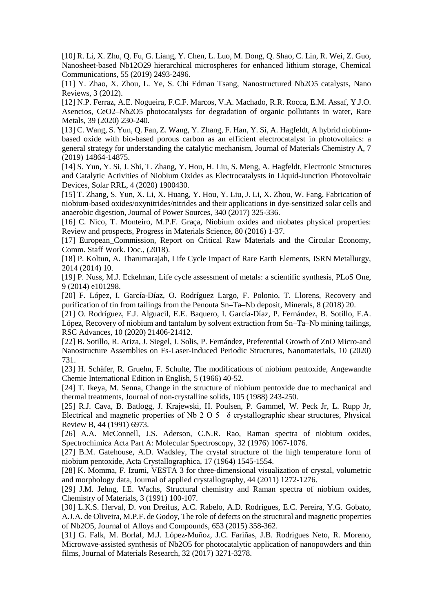[10] R. Li, X. Zhu, Q. Fu, G. Liang, Y. Chen, L. Luo, M. Dong, Q. Shao, C. Lin, R. Wei, Z. Guo, Nanosheet-based Nb12O29 hierarchical microspheres for enhanced lithium storage, Chemical Communications, 55 (2019) 2493-2496.

[11] Y. Zhao, X. Zhou, L. Ye, S. Chi Edman Tsang, Nanostructured Nb2O5 catalysts, Nano Reviews, 3 (2012).

[12] N.P. Ferraz, A.E. Nogueira, F.C.F. Marcos, V.A. Machado, R.R. Rocca, E.M. Assaf, Y.J.O. Asencios, CeO2–Nb2O5 photocatalysts for degradation of organic pollutants in water, Rare Metals, 39 (2020) 230-240.

[13] C. Wang, S. Yun, Q. Fan, Z. Wang, Y. Zhang, F. Han, Y. Si, A. Hagfeldt, A hybrid niobiumbased oxide with bio-based porous carbon as an efficient electrocatalyst in photovoltaics: a general strategy for understanding the catalytic mechanism, Journal of Materials Chemistry A, 7 (2019) 14864-14875.

[14] S. Yun, Y. Si, J. Shi, T. Zhang, Y. Hou, H. Liu, S. Meng, A. Hagfeldt, Electronic Structures and Catalytic Activities of Niobium Oxides as Electrocatalysts in Liquid-Junction Photovoltaic Devices, Solar RRL, 4 (2020) 1900430.

[15] T. Zhang, S. Yun, X. Li, X. Huang, Y. Hou, Y. Liu, J. Li, X. Zhou, W. Fang, Fabrication of niobium-based oxides/oxynitrides/nitrides and their applications in dye-sensitized solar cells and anaerobic digestion, Journal of Power Sources, 340 (2017) 325-336.

[16] C. Nico, T. Monteiro, M.P.F. Graça, Niobium oxides and niobates physical properties: Review and prospects, Progress in Materials Science, 80 (2016) 1-37.

[17] European\_Commission, Report on Critical Raw Materials and the Circular Economy, Comm. Staff Work. Doc., (2018).

[18] P. Koltun, A. Tharumarajah, Life Cycle Impact of Rare Earth Elements, ISRN Metallurgy, 2014 (2014) 10.

[19] P. Nuss, M.J. Eckelman, Life cycle assessment of metals: a scientific synthesis, PLoS One, 9 (2014) e101298.

[20] F. López, I. García-Díaz, O. Rodríguez Largo, F. Polonio, T. Llorens, Recovery and purification of tin from tailings from the Penouta Sn–Ta–Nb deposit, Minerals, 8 (2018) 20.

[21] O. Rodríguez, F.J. Alguacil, E.E. Baquero, I. García-Díaz, P. Fernández, B. Sotillo, F.A. López, Recovery of niobium and tantalum by solvent extraction from Sn–Ta–Nb mining tailings, RSC Advances, 10 (2020) 21406-21412.

[22] B. Sotillo, R. Ariza, J. Siegel, J. Solis, P. Fernández, Preferential Growth of ZnO Micro-and Nanostructure Assemblies on Fs-Laser-Induced Periodic Structures, Nanomaterials, 10 (2020) 731.

[23] H. Schäfer, R. Gruehn, F. Schulte, The modifications of niobium pentoxide, Angewandte Chemie International Edition in English, 5 (1966) 40-52.

[24] T. Ikeya, M. Senna, Change in the structure of niobium pentoxide due to mechanical and thermal treatments, Journal of non-crystalline solids, 105 (1988) 243-250.

[25] R.J. Cava, B. Batlogg, J. Krajewski, H. Poulsen, P. Gammel, W. Peck Jr, L. Rupp Jr, Electrical and magnetic properties of Nb 2 O 5− δ crystallographic shear structures, Physical Review B, 44 (1991) 6973.

[26] A.A. McConnell, J.S. Aderson, C.N.R. Rao, Raman spectra of niobium oxides, Spectrochimica Acta Part A: Molecular Spectroscopy, 32 (1976) 1067-1076.

[27] B.M. Gatehouse, A.D. Wadsley, The crystal structure of the high temperature form of niobium pentoxide, Acta Crystallographica, 17 (1964) 1545-1554.

[28] K. Momma, F. Izumi, VESTA 3 for three-dimensional visualization of crystal, volumetric and morphology data, Journal of applied crystallography, 44 (2011) 1272-1276.

[29] J.M. Jehng, I.E. Wachs, Structural chemistry and Raman spectra of niobium oxides, Chemistry of Materials, 3 (1991) 100-107.

[30] L.K.S. Herval, D. von Dreifus, A.C. Rabelo, A.D. Rodrigues, E.C. Pereira, Y.G. Gobato, A.J.A. de Oliveira, M.P.F. de Godoy, The role of defects on the structural and magnetic properties of Nb2O5, Journal of Alloys and Compounds, 653 (2015) 358-362.

[31] G. Falk, M. Borlaf, M.J. López-Muñoz, J.C. Fariñas, J.B. Rodrigues Neto, R. Moreno, Microwave-assisted synthesis of Nb2O5 for photocatalytic application of nanopowders and thin films, Journal of Materials Research, 32 (2017) 3271-3278.